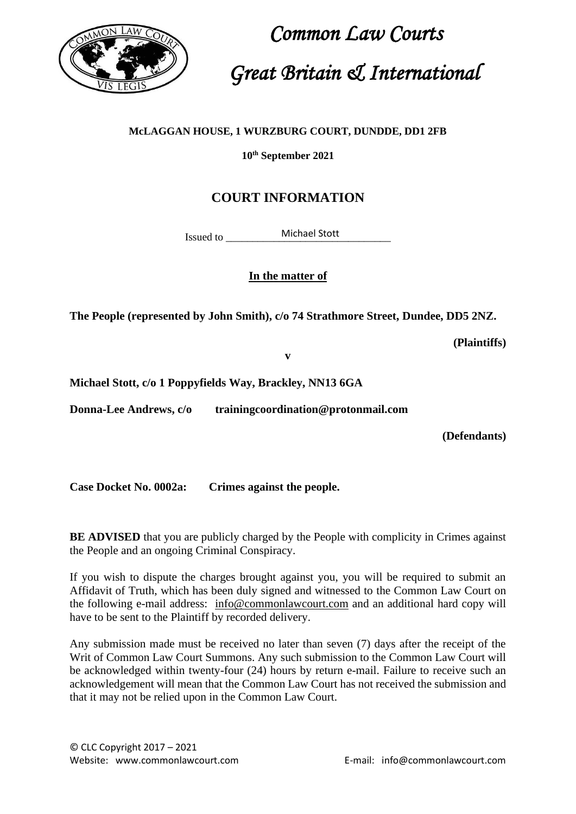

 *Common Law Courts Great Britain & International*

#### **McLAGGAN HOUSE, 1 WURZBURG COURT, DUNDDE, DD1 2FB**

**10th September 2021**

### **COURT INFORMATION**

Issued to Michael Stott

**In the matter of** 

**The People (represented by John Smith), c/o 74 Strathmore Street, Dundee, DD5 2NZ.**

**(Plaintiffs)**

**v** 

**Michael Stott, c/o 1 Poppyfields Way, Brackley, NN13 6GA**

**Donna-Lee Andrews, c/o trainingcoordination@protonmail.com**

**(Defendants)**

**Case Docket No. 0002a: Crimes against the people.**

**BE ADVISED** that you are publicly charged by the People with complicity in Crimes against the People and an ongoing Criminal Conspiracy.

If you wish to dispute the charges brought against you, you will be required to submit an Affidavit of Truth, which has been duly signed and witnessed to the Common Law Court on the following e-mail address: [info@commonlawcourt.com](mailto:info@commonlawcourt.com) and an additional hard copy will have to be sent to the Plaintiff by recorded delivery.

Any submission made must be received no later than seven (7) days after the receipt of the Writ of Common Law Court Summons. Any such submission to the Common Law Court will be acknowledged within twenty-four (24) hours by return e-mail. Failure to receive such an acknowledgement will mean that the Common Law Court has not received the submission and that it may not be relied upon in the Common Law Court.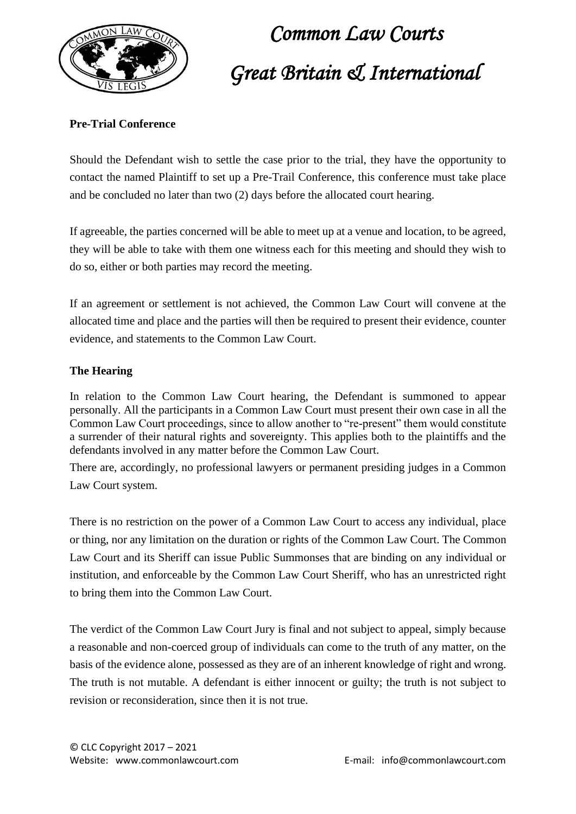

## *Common Law Courts Great Britain & International*

#### **Pre-Trial Conference**

Should the Defendant wish to settle the case prior to the trial, they have the opportunity to contact the named Plaintiff to set up a Pre-Trail Conference, this conference must take place and be concluded no later than two (2) days before the allocated court hearing.

If agreeable, the parties concerned will be able to meet up at a venue and location, to be agreed, they will be able to take with them one witness each for this meeting and should they wish to do so, either or both parties may record the meeting.

If an agreement or settlement is not achieved, the Common Law Court will convene at the allocated time and place and the parties will then be required to present their evidence, counter evidence, and statements to the Common Law Court.

#### **The Hearing**

In relation to the Common Law Court hearing, the Defendant is summoned to appear personally. All the participants in a Common Law Court must present their own case in all the Common Law Court proceedings, since to allow another to "re-present" them would constitute a surrender of their natural rights and sovereignty. This applies both to the plaintiffs and the defendants involved in any matter before the Common Law Court.

There are, accordingly, no professional lawyers or permanent presiding judges in a Common Law Court system.

There is no restriction on the power of a Common Law Court to access any individual, place or thing, nor any limitation on the duration or rights of the Common Law Court. The Common Law Court and its Sheriff can issue Public Summonses that are binding on any individual or institution, and enforceable by the Common Law Court Sheriff, who has an unrestricted right to bring them into the Common Law Court.

The verdict of the Common Law Court Jury is final and not subject to appeal, simply because a reasonable and non-coerced group of individuals can come to the truth of any matter, on the basis of the evidence alone, possessed as they are of an inherent knowledge of right and wrong. The truth is not mutable. A defendant is either innocent or guilty; the truth is not subject to revision or reconsideration, since then it is not true.